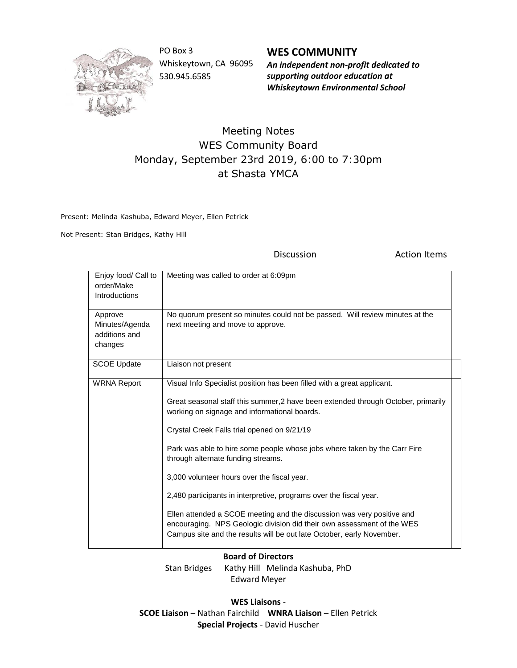

PO Box 3 Whiskeytown, CA 96095 530.945.6585

**WES COMMUNITY** *An independent non-profit dedicated to supporting outdoor education at Whiskeytown Environmental School*

## Meeting Notes WES Community Board Monday, September 23rd 2019, 6:00 to 7:30pm at Shasta YMCA

Present: Melinda Kashuba, Edward Meyer, Ellen Petrick

Not Present: Stan Bridges, Kathy Hill

Discussion **Action Items** 

| Enjoy food/ Call to<br>order/Make<br><b>Introductions</b> | Meeting was called to order at 6:09pm                                                                                                                                                                                     |
|-----------------------------------------------------------|---------------------------------------------------------------------------------------------------------------------------------------------------------------------------------------------------------------------------|
| Approve<br>Minutes/Agenda<br>additions and<br>changes     | No quorum present so minutes could not be passed. Will review minutes at the<br>next meeting and move to approve.                                                                                                         |
| <b>SCOE Update</b>                                        | Liaison not present                                                                                                                                                                                                       |
| <b>WRNA Report</b>                                        | Visual Info Specialist position has been filled with a great applicant.                                                                                                                                                   |
|                                                           | Great seasonal staff this summer, 2 have been extended through October, primarily<br>working on signage and informational boards.                                                                                         |
|                                                           | Crystal Creek Falls trial opened on 9/21/19                                                                                                                                                                               |
|                                                           | Park was able to hire some people whose jobs where taken by the Carr Fire<br>through alternate funding streams.                                                                                                           |
|                                                           | 3,000 volunteer hours over the fiscal year.                                                                                                                                                                               |
|                                                           | 2,480 participants in interpretive, programs over the fiscal year.                                                                                                                                                        |
|                                                           | Ellen attended a SCOE meeting and the discussion was very positive and<br>encouraging. NPS Geologic division did their own assessment of the WES<br>Campus site and the results will be out late October, early November. |

## **Board of Directors**

Stan Bridges Kathy Hill Melinda Kashuba, PhD Edward Meyer

**WES Liaisons** - **SCOE Liaison** – Nathan Fairchild **WNRA Liaison** – Ellen Petrick **Special Projects** - David Huscher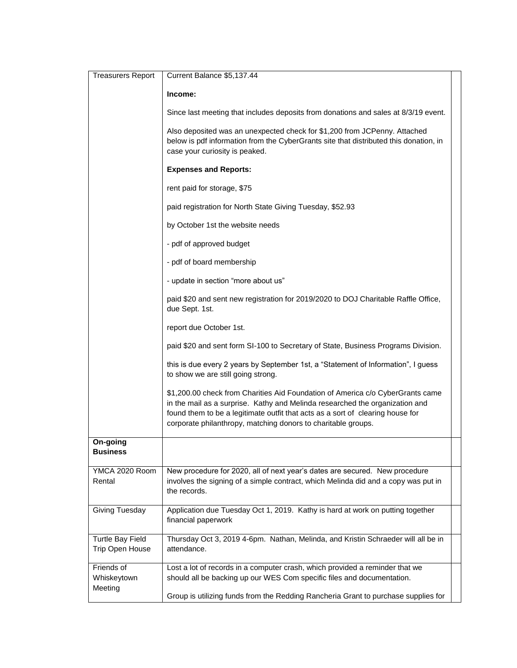| <b>Treasurers Report</b>                   | Current Balance \$5,137.44                                                                                                                                                                                                                                                                                        |  |
|--------------------------------------------|-------------------------------------------------------------------------------------------------------------------------------------------------------------------------------------------------------------------------------------------------------------------------------------------------------------------|--|
|                                            | Income:                                                                                                                                                                                                                                                                                                           |  |
|                                            | Since last meeting that includes deposits from donations and sales at 8/3/19 event.                                                                                                                                                                                                                               |  |
|                                            | Also deposited was an unexpected check for \$1,200 from JCPenny. Attached<br>below is pdf information from the CyberGrants site that distributed this donation, in<br>case your curiosity is peaked.                                                                                                              |  |
|                                            | <b>Expenses and Reports:</b>                                                                                                                                                                                                                                                                                      |  |
|                                            | rent paid for storage, \$75                                                                                                                                                                                                                                                                                       |  |
|                                            | paid registration for North State Giving Tuesday, \$52.93                                                                                                                                                                                                                                                         |  |
|                                            | by October 1st the website needs                                                                                                                                                                                                                                                                                  |  |
|                                            | - pdf of approved budget                                                                                                                                                                                                                                                                                          |  |
|                                            | - pdf of board membership                                                                                                                                                                                                                                                                                         |  |
|                                            | - update in section "more about us"                                                                                                                                                                                                                                                                               |  |
|                                            | paid \$20 and sent new registration for 2019/2020 to DOJ Charitable Raffle Office,<br>due Sept. 1st.                                                                                                                                                                                                              |  |
|                                            | report due October 1st.                                                                                                                                                                                                                                                                                           |  |
|                                            | paid \$20 and sent form SI-100 to Secretary of State, Business Programs Division.                                                                                                                                                                                                                                 |  |
|                                            | this is due every 2 years by September 1st, a "Statement of Information", I guess<br>to show we are still going strong.                                                                                                                                                                                           |  |
|                                            | \$1,200.00 check from Charities Aid Foundation of America c/o CyberGrants came<br>in the mail as a surprise. Kathy and Melinda researched the organization and<br>found them to be a legitimate outfit that acts as a sort of clearing house for<br>corporate philanthropy, matching donors to charitable groups. |  |
| On-going<br><b>Business</b>                |                                                                                                                                                                                                                                                                                                                   |  |
| YMCA 2020 Room<br>Rental                   | New procedure for 2020, all of next year's dates are secured. New procedure<br>involves the signing of a simple contract, which Melinda did and a copy was put in<br>the records.                                                                                                                                 |  |
| Giving Tuesday                             | Application due Tuesday Oct 1, 2019. Kathy is hard at work on putting together<br>financial paperwork                                                                                                                                                                                                             |  |
| <b>Turtle Bay Field</b><br>Trip Open House | Thursday Oct 3, 2019 4-6pm. Nathan, Melinda, and Kristin Schraeder will all be in<br>attendance.                                                                                                                                                                                                                  |  |
| Friends of<br>Whiskeytown<br>Meeting       | Lost a lot of records in a computer crash, which provided a reminder that we<br>should all be backing up our WES Com specific files and documentation.<br>Group is utilizing funds from the Redding Rancheria Grant to purchase supplies for                                                                      |  |